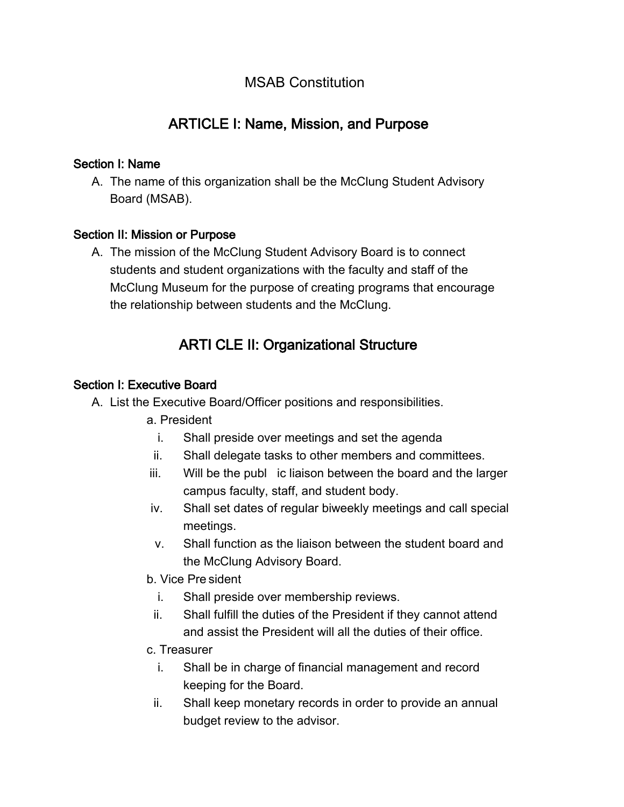## MSAB Constitution

# ARTICLE I: Name, Mission, and Purpose

#### Section I: Name

A. The name of this organization shall be the McClung Student Advisory Board (MSAB).

#### Section II: Mission or Purpose

A. The mission of the McClung Student Advisory Board is to connect students and student organizations with the faculty and staff of the McClung Museum for the purpose of creating programs that encourage the relationship between students and the McClung.

## ARTI CLE II: Organizational Structure

#### Section I: Executive Board

- A. List the Executive Board/Officer positions and responsibilities.
	- a. President
		- i. Shall preside over meetings and set the agenda
	- ii. Shall delegate tasks to other members and committees.
	- iii. Will be the publ ic liaison between the board and the larger campus faculty, staff, and student body.
	- iv. Shall set dates of regular biweekly meetings and call special meetings.
	- v. Shall function as the liaison between the student board and the McClung Advisory Board.
	- b. Vice Pre sident
		- i. Shall preside over membership reviews.
		- ii. Shall fulfill the duties of the President if they cannot attend and assist the President will all the duties of their office.
	- c. Treasurer
		- i. Shall be in charge of financial management and record keeping for the Board.
		- ii. Shall keep monetary records in order to provide an annual budget review to the advisor.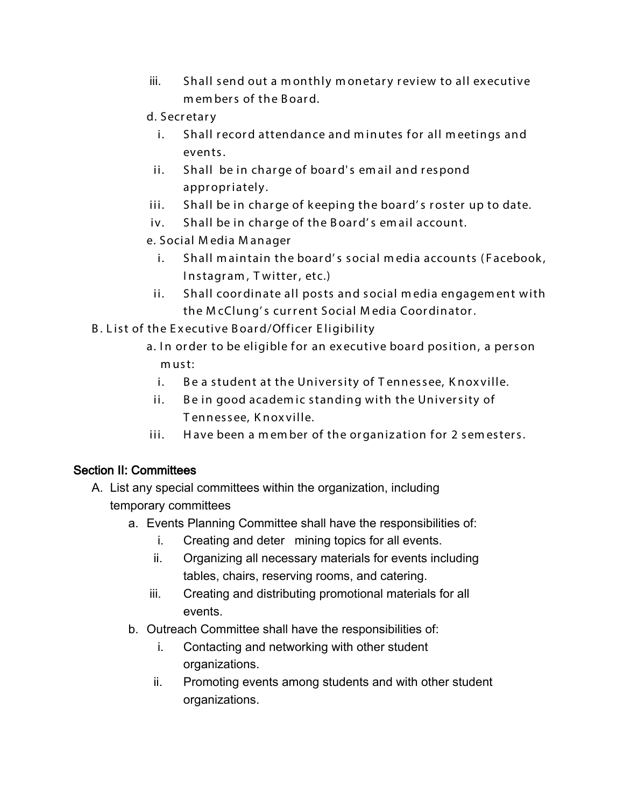iii. Shall send out a m onthly m onetary review to all executive m em bers of the B oard.

#### d. Secretary

- i. Shall record attendance and minutes for all meetings and events.
- ii. Shall be in charge of board' s em ail and respond appropriately.
- iii. Shall be in charge of keeping the board' s roster up to date.
- iv. Shall be in charge of the B oard' s em ail account.
- e. Social M edia M anager
	- i. Shall maintain the board's social media accounts (Facebook, Instagram, Twitter, etc.)
- ii. Shall coordinate all posts and social m edia engagem ent with the M cClung' s current Social M edia Coordinator.
- B. List of the Executive Board/Officer Eligibility
	- a. In order to be eligible for an executive board position, a person must:
		- i. Be a student at the University of Tennessee, Knoxville.
		- ii. Be in good academic standing with the University of T ennessee, K noxville.
	- iii. Have been a member of the organization for 2 semesters.

#### Section II: Committees

- A. List any special committees within the organization, including temporary committees
	- a. Events Planning Committee shall have the responsibilities of:
		- i. Creating and deter mining topics for all events.
		- ii. Organizing all necessary materials for events including tables, chairs, reserving rooms, and catering.
		- iii. Creating and distributing promotional materials for all events.
	- b. Outreach Committee shall have the responsibilities of:
		- i. Contacting and networking with other student organizations.
		- ii. Promoting events among students and with other student organizations.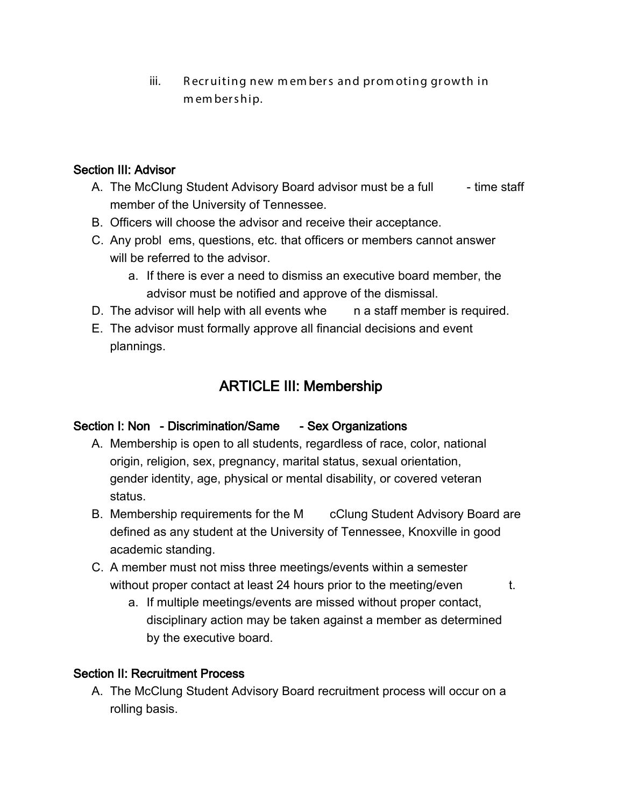iii. R ecruiting new m em bers and prom oting growth in m em bership.

#### Section III: Advisor

- A. The McClung Student Advisory Board advisor must be a full time staff member of the University of Tennessee.
- B. Officers will choose the advisor and receive their acceptance.
- C. Any probl ems, questions, etc. that officers or members cannot answer will be referred to the advisor.
	- a. If there is ever a need to dismiss an executive board member, the advisor must be notified and approve of the dismissal.
- D. The advisor will help with all events whe n a staff member is required.
- E. The advisor must formally approve all financial decisions and event plannings.

# ARTICLE III: Membership

#### Section I: Non - Discrimination/Same - Sex Organizations

- A. Membership is open to all students, regardless of race, color, national origin, religion, sex, pregnancy, marital status, sexual orientation, gender identity, age, physical or mental disability, or covered veteran status.
- B. Membership requirements for the M cClung Student Advisory Board are defined as any student at the University of Tennessee, Knoxville in good academic standing.
- C. A member must not miss three meetings/events within a semester without proper contact at least 24 hours prior to the meeting/even t.
	- a. If multiple meetings/events are missed without proper contact, disciplinary action may be taken against a member as determined by the executive board.

#### Section II: Recruitment Process

A. The McClung Student Advisory Board recruitment process will occur on a rolling basis.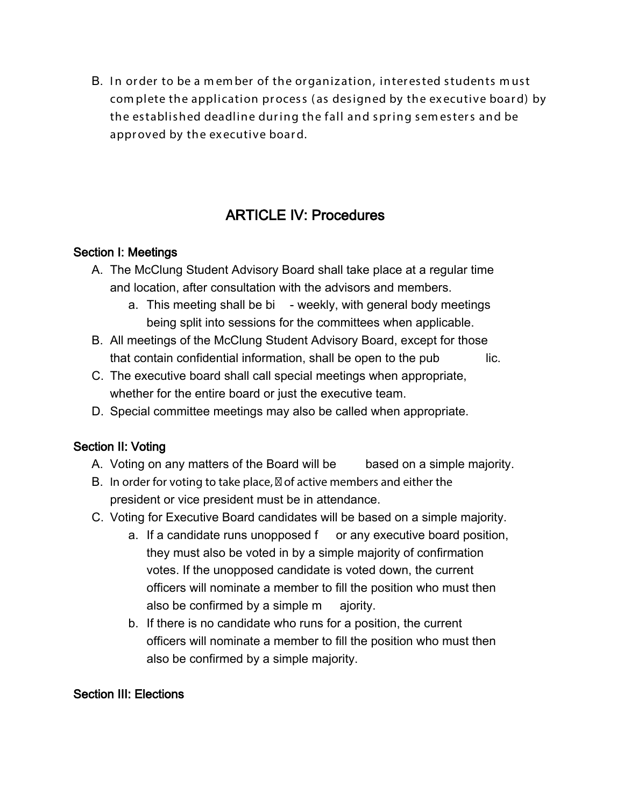B. I n order to be a m em ber of the organization, interested students m ust com plete the application process ( as designed by the executive board) by the established deadline dur ing the fall and spring sem esters and be approved by the ex ecutive board.

# ARTICLE IV: Procedures

#### Section I: Meetings

- A. The McClung Student Advisory Board shall take place at a regular time and location, after consultation with the advisors and members.
	- a. This meeting shall be bi weekly, with general body meetings being split into sessions for the committees when applicable.
- B. All meetings of the McClung Student Advisory Board, except for those that contain confidential information, shall be open to the pub lic.
- C. The executive board shall call special meetings when appropriate, whether for the entire board or just the executive team.
- D. Special committee meetings may also be called when appropriate.

## Section II: Voting

- A. Voting on any matters of the Board will be based on a simple majority.
- B. In order for voting to take place, of active members and either the president or vice president must be in attendance.
- C. Voting for Executive Board candidates will be based on a simple majority.
	- a. If a candidate runs unopposed f or any executive board position, they must also be voted in by a simple majority of confirmation votes. If the unopposed candidate is voted down, the current officers will nominate a member to fill the position who must then also be confirmed by a simple m ajority.
	- b. If there is no candidate who runs for a position, the current officers will nominate a member to fill the position who must then also be confirmed by a simple majority.

#### Section III: Elections